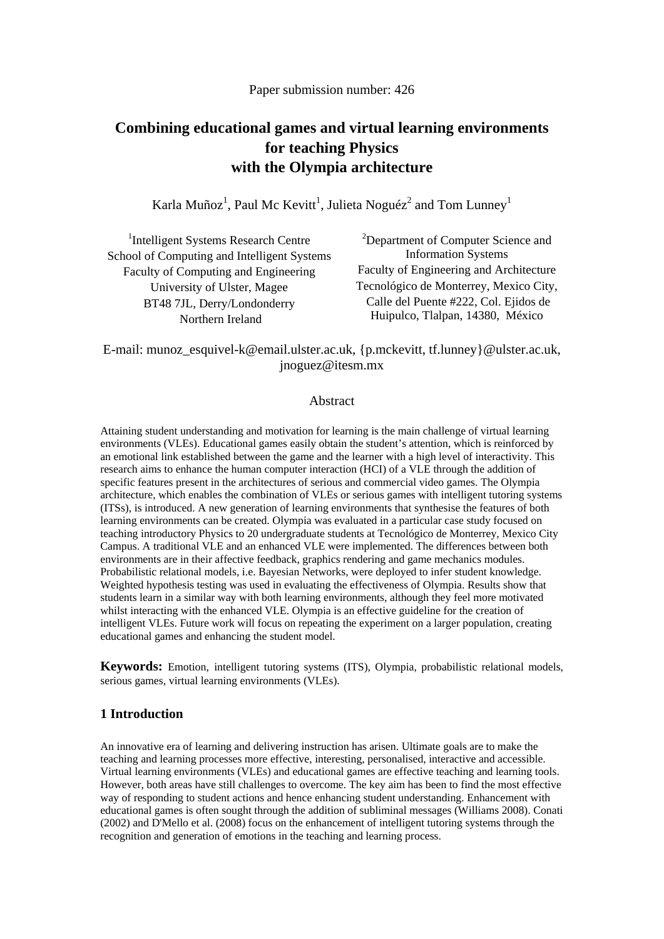# **Combining educational games and virtual learning environments for teaching Physics with the Olympia architecture**

Karla Muñoz<sup>1</sup>, Paul Mc Kevitt<sup>1</sup>, Julieta Noguéz<sup>2</sup> and Tom Lunney<sup>1</sup>

| <sup>1</sup> Intelligent Systems Research Centre | <sup>2</sup> Department of Computer Science and |
|--------------------------------------------------|-------------------------------------------------|
| School of Computing and Intelligent Systems      | <b>Information Systems</b>                      |
| Faculty of Computing and Engineering             | Faculty of Engineering and Architecture         |
| University of Ulster, Magee                      | Tecnológico de Monterrey, Mexico City,          |
| BT48 7JL, Derry/Londonderry                      | Calle del Puente #222, Col. Ejidos de           |
| Northern Ireland                                 | Huipulco, Tlalpan, 14380, México                |

E-mail: munoz\_esquivel-k@email.ulster.ac.uk, {p.mckevitt, tf.lunney}@ulster.ac.uk, jnoguez@itesm.mx

#### Abstract

Attaining student understanding and motivation for learning is the main challenge of virtual learning environments (VLEs). Educational games easily obtain the student's attention, which is reinforced by an emotional link established between the game and the learner with a high level of interactivity. This research aims to enhance the human computer interaction (HCI) of a VLE through the addition of specific features present in the architectures of serious and commercial video games. The Olympia architecture, which enables the combination of VLEs or serious games with intelligent tutoring systems (ITSs), is introduced. A new generation of learning environments that synthesise the features of both learning environments can be created. Olympia was evaluated in a particular case study focused on teaching introductory Physics to 20 undergraduate students at Tecnológico de Monterrey, Mexico City Campus. A traditional VLE and an enhanced VLE were implemented. The differences between both environments are in their affective feedback, graphics rendering and game mechanics modules. Probabilistic relational models, i.e. Bayesian Networks, were deployed to infer student knowledge. Weighted hypothesis testing was used in evaluating the effectiveness of Olympia. Results show that students learn in a similar way with both learning environments, although they feel more motivated whilst interacting with the enhanced VLE. Olympia is an effective guideline for the creation of intelligent VLEs. Future work will focus on repeating the experiment on a larger population, creating educational games and enhancing the student model.

**Keywords:** Emotion, intelligent tutoring systems (ITS), Olympia, probabilistic relational models, serious games, virtual learning environments (VLEs).

#### **1 Introduction**

An innovative era of learning and delivering instruction has arisen. Ultimate goals are to make the teaching and learning processes more effective, interesting, personalised, interactive and accessible. Virtual learning environments (VLEs) and educational games are effective teaching and learning tools. However, both areas have still challenges to overcome. The key aim has been to find the most effective way of responding to student actions and hence enhancing student understanding. Enhancement with educational games is often sought through the addition of subliminal messages (Williams 2008). Conati (2002) and D'Mello et al. (2008) focus on the enhancement of intelligent tutoring systems through the recognition and generation of emotions in the teaching and learning process.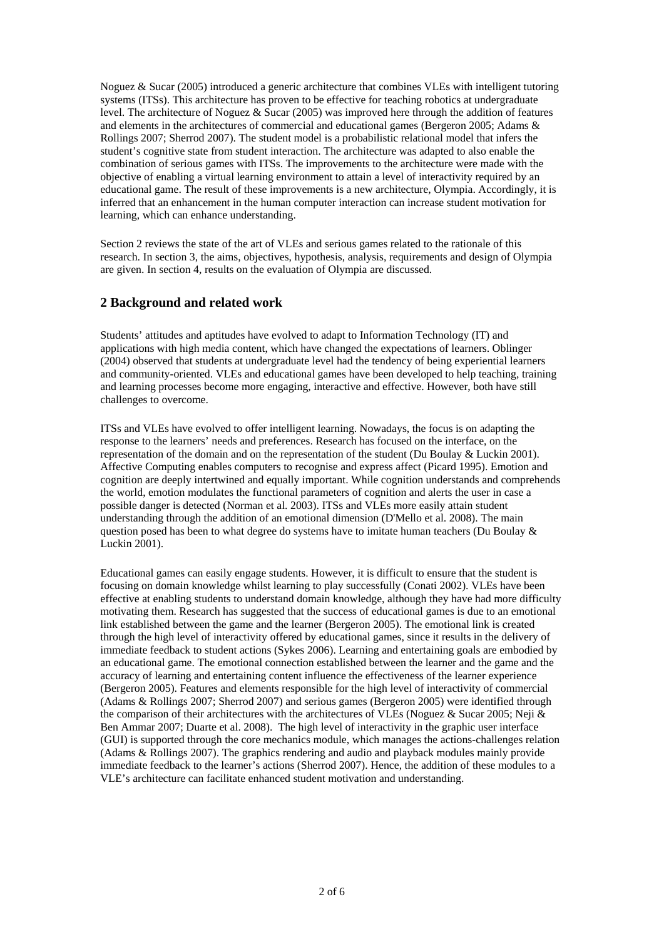Noguez & Sucar (2005) introduced a generic architecture that combines VLEs with intelligent tutoring systems (ITSs). This architecture has proven to be effective for teaching robotics at undergraduate level. The architecture of Noguez & Sucar (2005) was improved here through the addition of features and elements in the architectures of commercial and educational games (Bergeron 2005; Adams & Rollings 2007; Sherrod 2007). The student model is a probabilistic relational model that infers the student's cognitive state from student interaction. The architecture was adapted to also enable the combination of serious games with ITSs. The improvements to the architecture were made with the objective of enabling a virtual learning environment to attain a level of interactivity required by an educational game. The result of these improvements is a new architecture, Olympia. Accordingly, it is inferred that an enhancement in the human computer interaction can increase student motivation for learning, which can enhance understanding.

Section 2 reviews the state of the art of VLEs and serious games related to the rationale of this research. In section 3, the aims, objectives, hypothesis, analysis, requirements and design of Olympia are given. In section 4, results on the evaluation of Olympia are discussed.

## **2 Background and related work**

Students' attitudes and aptitudes have evolved to adapt to Information Technology (IT) and applications with high media content, which have changed the expectations of learners. Oblinger (2004) observed that students at undergraduate level had the tendency of being experiential learners and community-oriented. VLEs and educational games have been developed to help teaching, training and learning processes become more engaging, interactive and effective. However, both have still challenges to overcome.

ITSs and VLEs have evolved to offer intelligent learning. Nowadays, the focus is on adapting the response to the learners' needs and preferences. Research has focused on the interface, on the representation of the domain and on the representation of the student (Du Boulay & Luckin 2001). Affective Computing enables computers to recognise and express affect (Picard 1995). Emotion and cognition are deeply intertwined and equally important. While cognition understands and comprehends the world, emotion modulates the functional parameters of cognition and alerts the user in case a possible danger is detected (Norman et al. 2003). ITSs and VLEs more easily attain student understanding through the addition of an emotional dimension (D'Mello et al. 2008). The main question posed has been to what degree do systems have to imitate human teachers (Du Boulay  $\&$ Luckin 2001).

Educational games can easily engage students. However, it is difficult to ensure that the student is focusing on domain knowledge whilst learning to play successfully (Conati 2002). VLEs have been effective at enabling students to understand domain knowledge, although they have had more difficulty motivating them. Research has suggested that the success of educational games is due to an emotional link established between the game and the learner (Bergeron 2005). The emotional link is created through the high level of interactivity offered by educational games, since it results in the delivery of immediate feedback to student actions (Sykes 2006). Learning and entertaining goals are embodied by an educational game. The emotional connection established between the learner and the game and the accuracy of learning and entertaining content influence the effectiveness of the learner experience (Bergeron 2005). Features and elements responsible for the high level of interactivity of commercial (Adams & Rollings 2007; Sherrod 2007) and serious games (Bergeron 2005) were identified through the comparison of their architectures with the architectures of VLEs (Noguez & Sucar 2005; Neji & Ben Ammar 2007; Duarte et al. 2008). The high level of interactivity in the graphic user interface (GUI) is supported through the core mechanics module, which manages the actions-challenges relation (Adams & Rollings 2007). The graphics rendering and audio and playback modules mainly provide immediate feedback to the learner's actions (Sherrod 2007). Hence, the addition of these modules to a VLE's architecture can facilitate enhanced student motivation and understanding.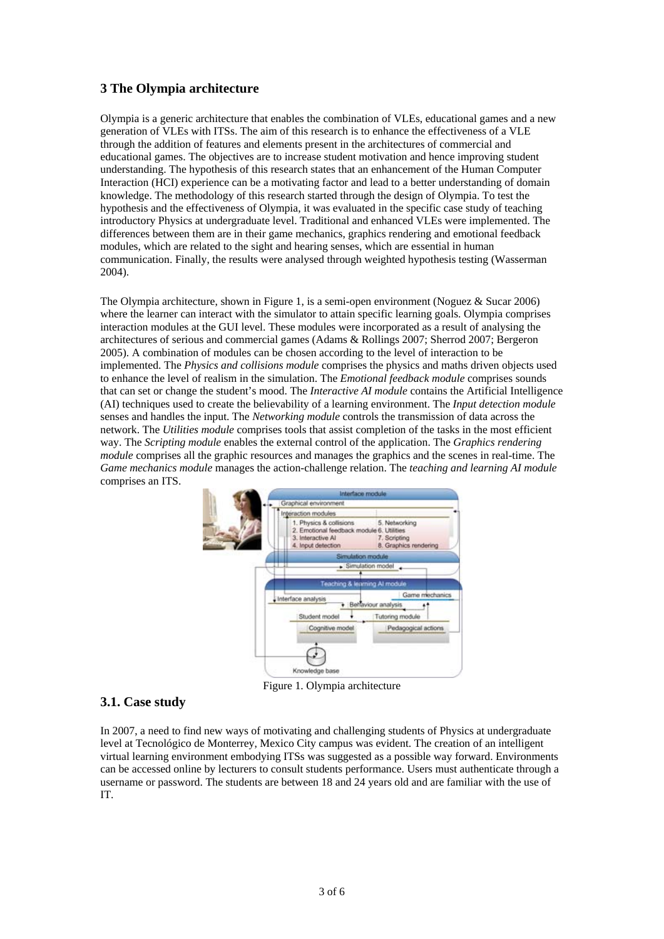## **3 The Olympia architecture**

Olympia is a generic architecture that enables the combination of VLEs, educational games and a new generation of VLEs with ITSs. The aim of this research is to enhance the effectiveness of a VLE through the addition of features and elements present in the architectures of commercial and educational games. The objectives are to increase student motivation and hence improving student understanding. The hypothesis of this research states that an enhancement of the Human Computer Interaction (HCI) experience can be a motivating factor and lead to a better understanding of domain knowledge. The methodology of this research started through the design of Olympia. To test the hypothesis and the effectiveness of Olympia, it was evaluated in the specific case study of teaching introductory Physics at undergraduate level. Traditional and enhanced VLEs were implemented. The differences between them are in their game mechanics, graphics rendering and emotional feedback modules, which are related to the sight and hearing senses, which are essential in human communication. Finally, the results were analysed through weighted hypothesis testing (Wasserman 2004).

The Olympia architecture, shown in Figure 1, is a semi-open environment (Noguez & Sucar 2006) where the learner can interact with the simulator to attain specific learning goals. Olympia comprises interaction modules at the GUI level. These modules were incorporated as a result of analysing the architectures of serious and commercial games (Adams & Rollings 2007; Sherrod 2007; Bergeron 2005). A combination of modules can be chosen according to the level of interaction to be implemented. The *Physics and collisions module* comprises the physics and maths driven objects used to enhance the level of realism in the simulation. The *Emotional feedback module* comprises sounds that can set or change the student's mood. The *Interactive AI module* contains the Artificial Intelligence (AI) techniques used to create the believability of a learning environment. The *Input detection module* senses and handles the input. The *Networking module* controls the transmission of data across the network. The *Utilities module* comprises tools that assist completion of the tasks in the most efficient way. The *Scripting module* enables the external control of the application. The *Graphics rendering module* comprises all the graphic resources and manages the graphics and the scenes in real-time. The *Game mechanics module* manages the action-challenge relation. The *teaching and learning AI module*  comprises an ITS.



Figure 1. Olympia architecture

### **3.1. Case study**

In 2007, a need to find new ways of motivating and challenging students of Physics at undergraduate level at Tecnológico de Monterrey, Mexico City campus was evident. The creation of an intelligent virtual learning environment embodying ITSs was suggested as a possible way forward. Environments can be accessed online by lecturers to consult students performance. Users must authenticate through a username or password. The students are between 18 and 24 years old and are familiar with the use of IT.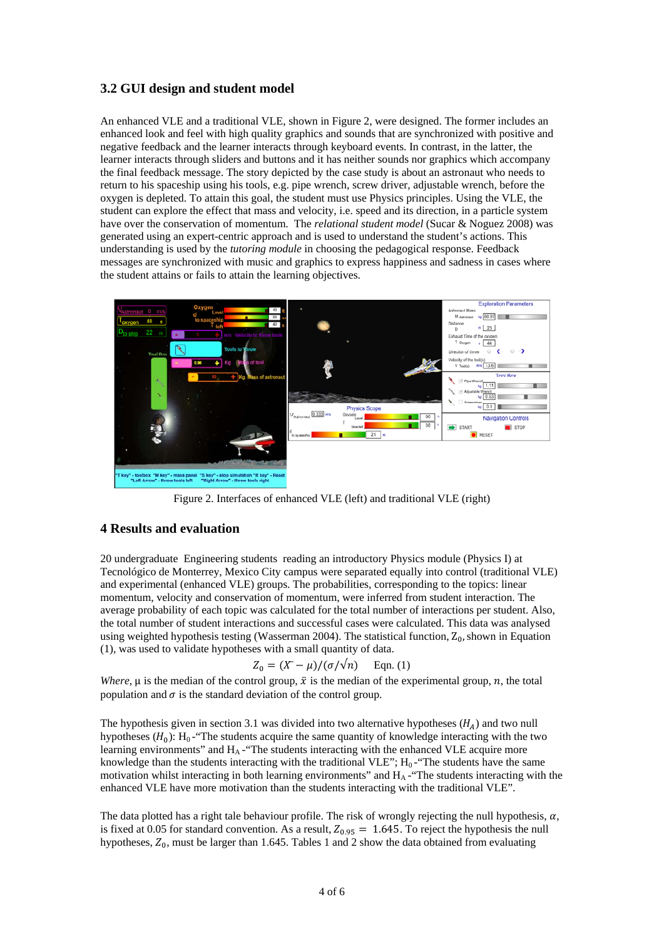## **3.2 GUI design and student model**

An enhanced VLE and a traditional VLE, shown in Figure 2, were designed. The former includes an enhanced look and feel with high quality graphics and sounds that are synchronized with positive and negative feedback and the learner interacts through keyboard events. In contrast, in the latter, the learner interacts through sliders and buttons and it has neither sounds nor graphics which accompany the final feedback message. The story depicted by the case study is about an astronaut who needs to return to his spaceship using his tools, e.g. pipe wrench, screw driver, adjustable wrench, before the oxygen is depleted. To attain this goal, the student must use Physics principles. Using the VLE, the student can explore the effect that mass and velocity, i.e. speed and its direction, in a particle system have over the conservation of momentum. The *relational student model* (Sucar & Noguez 2008) was generated using an expert-centric approach and is used to understand the student's actions. This understanding is used by the *tutoring module* in choosing the pedagogical response. Feedback messages are synchronized with music and graphics to express happiness and sadness in cases where the student attains or fails to attain the learning objectives.



Figure 2. Interfaces of enhanced VLE (left) and traditional VLE (right)

#### **4 Results and evaluation**

20 undergraduate Engineering students reading an introductory Physics module (Physics I) at Tecnológico de Monterrey, Mexico City campus were separated equally into control (traditional VLE) and experimental (enhanced VLE) groups. The probabilities, corresponding to the topics: linear momentum, velocity and conservation of momentum, were inferred from student interaction. The average probability of each topic was calculated for the total number of interactions per student. Also, the total number of student interactions and successful cases were calculated. This data was analysed using weighted hypothesis testing (Wasserman 2004). The statistical function,  $Z_0$ , shown in Equation  $(1)$ , was used to validate hypotheses with a small quantity of data.

$$
Z_0 = (X - \mu) / (\sigma / \sqrt{n}) \quad \text{Eqn. (1)}
$$

*Where*,  $\mu$  is the median of the control group,  $\bar{x}$  is the median of the experimental group, n, the total population and  $\sigma$  is the standard deviation of the control group.

The hypothesis given in section 3.1 was divided into two alternative hypotheses  $(H_A)$  and two null hypotheses  $(H_0)$ :  $H_0$ -"The students acquire the same quantity of knowledge interacting with the two learning environments" and  $H_A$ -"The students interacting with the enhanced VLE acquire more knowledge than the students interacting with the traditional VLE";  $H_0$ -"The students have the same motivation whilst interacting in both learning environments" and  $H_A$ -"The students interacting with the enhanced VLE have more motivation than the students interacting with the traditional VLE".

The data plotted has a right tale behaviour profile. The risk of wrongly rejecting the null hypothesis,  $\alpha$ , is fixed at 0.05 for standard convention. As a result,  $Z_{0.95} = 1.645$ . To reject the hypothesis the null hypotheses,  $Z_0$ , must be larger than 1.645. Tables 1 and 2 show the data obtained from evaluating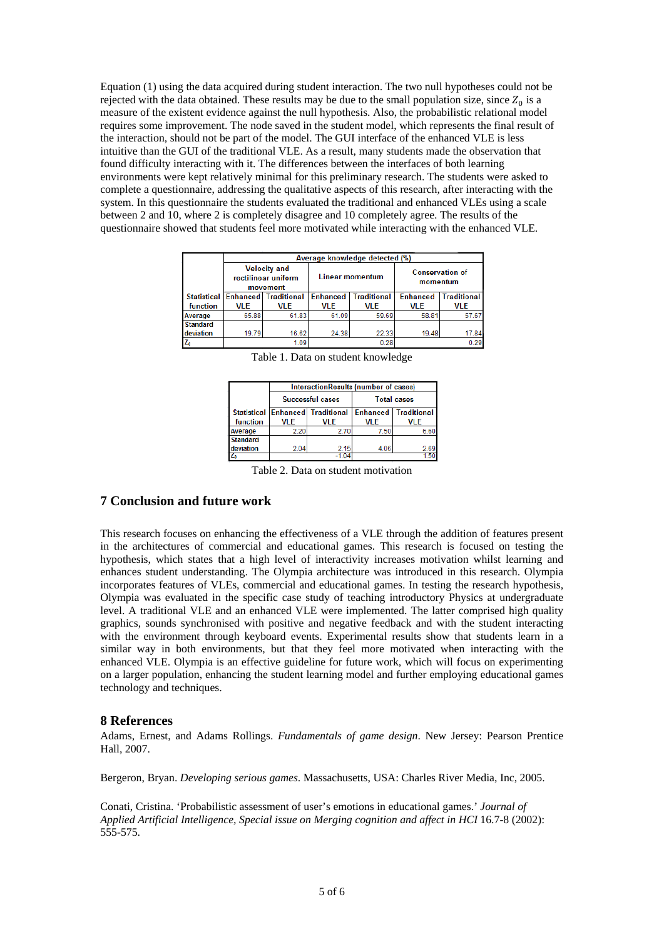Equation (1) using the data acquired during student interaction. The two null hypotheses could not be rejected with the data obtained. These results may be due to the small population size, since  $Z_0$  is a measure of the existent evidence against the null hypothesis. Also, the probabilistic relational model requires some improvement. The node saved in the student model, which represents the final result of the interaction, should not be part of the model. The GUI interface of the enhanced VLE is less intuitive than the GUI of the traditional VLE. As a result, many students made the observation that found difficulty interacting with it. The differences between the interfaces of both learning environments were kept relatively minimal for this preliminary research. The students were asked to complete a questionnaire, addressing the qualitative aspects of this research, after interacting with the system. In this questionnaire the students evaluated the traditional and enhanced VLEs using a scale between 2 and 10, where 2 is completely disagree and 10 completely agree. The results of the questionnaire showed that students feel more motivated while interacting with the enhanced VLE.

|                 | Average knowledge detected (%)                         |                      |                        |                    |                                    |                    |  |
|-----------------|--------------------------------------------------------|----------------------|------------------------|--------------------|------------------------------------|--------------------|--|
|                 | <b>Velocity and</b><br>rectilinear uniform<br>movement |                      | <b>Linear momentum</b> |                    | <b>Conservation of</b><br>momentum |                    |  |
| Statistical     |                                                        | Enhanced Traditional | <b>Enhanced</b>        | <b>Traditional</b> | <b>Enhanced</b>                    | <b>Traditional</b> |  |
| function        | <b>VLE</b>                                             | VLE                  | VLE                    | <b>VLE</b>         | <b>VLE</b>                         | <b>VLE</b>         |  |
| Average         | 65.88                                                  | 61.83                | 61.09                  | 59.69              | 58.81                              | 57.67              |  |
| <b>Standard</b> |                                                        |                      |                        |                    |                                    |                    |  |
| deviation       | 19.79                                                  | 16.62                | 24.38                  | 22.33              | 19.48                              | 17.84              |  |
|                 |                                                        | 1.09                 |                        | 0.28               |                                    | 0.29               |  |

|                 | InteractionResults (number of cases) |                                  |                    |                             |  |  |
|-----------------|--------------------------------------|----------------------------------|--------------------|-----------------------------|--|--|
|                 |                                      | Successful cases                 | <b>Total cases</b> |                             |  |  |
|                 |                                      | Statistical Enhanced Traditional |                    | <b>Enhanced Traditional</b> |  |  |
| function        | <b>VLE</b>                           | VLE                              | <b>VLE</b>         | <b>VLE</b>                  |  |  |
| Average         | 2.20                                 | 2.70                             | 7.50               | 6.60                        |  |  |
| <b>Standard</b> |                                      |                                  |                    |                             |  |  |
| deviation       | 2.04                                 | 2.15                             | 4.06               | 2.69                        |  |  |
| Ζ.              |                                      | -1.04                            |                    |                             |  |  |

Table 1. Data on student knowledge

Table 2. Data on student motivation

### **7 Conclusion and future work**

This research focuses on enhancing the effectiveness of a VLE through the addition of features present in the architectures of commercial and educational games. This research is focused on testing the hypothesis, which states that a high level of interactivity increases motivation whilst learning and enhances student understanding. The Olympia architecture was introduced in this research. Olympia incorporates features of VLEs, commercial and educational games. In testing the research hypothesis, Olympia was evaluated in the specific case study of teaching introductory Physics at undergraduate level. A traditional VLE and an enhanced VLE were implemented. The latter comprised high quality graphics, sounds synchronised with positive and negative feedback and with the student interacting with the environment through keyboard events. Experimental results show that students learn in a similar way in both environments, but that they feel more motivated when interacting with the enhanced VLE. Olympia is an effective guideline for future work, which will focus on experimenting on a larger population, enhancing the student learning model and further employing educational games technology and techniques.

### **8 References**

Adams, Ernest, and Adams Rollings. *Fundamentals of game design*. New Jersey: Pearson Prentice Hall, 2007.

Bergeron, Bryan. *Developing serious games*. Massachusetts, USA: Charles River Media, Inc, 2005.

Conati, Cristina. 'Probabilistic assessment of user's emotions in educational games.' *Journal of Applied Artificial Intelligence, Special issue on Merging cognition and affect in HCI* 16.7-8 (2002): 555-575.